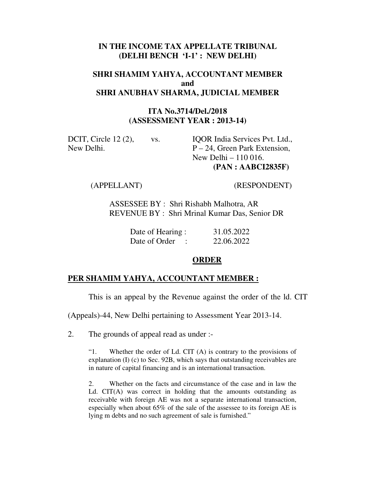#### **IN THE INCOME TAX APPELLATE TRIBUNAL (DELHI BENCH 'I-1' : NEW DELHI)**

## **SHRI SHAMIM YAHYA, ACCOUNTANT MEMBER and SHRI ANUBHAV SHARMA, JUDICIAL MEMBER**

#### **ITA No.3714/Del./2018 (ASSESSMENT YEAR : 2013-14)**

DCIT, Circle 12 (2), vs. IQOR India Services Pvt. Ltd., New Delhi. P – 24, Green Park Extension, New Delhi – 110 016.  **(PAN : AABCI2835F)** 

(APPELLANT) (RESPONDENT)

ASSESSEE BY : Shri Rishabh Malhotra, AR REVENUE BY : Shri Mrinal Kumar Das, Senior DR

| Date of Hearing : | 31.05.2022 |
|-------------------|------------|
| Date of Order     | 22.06.2022 |

#### **ORDER**

### **PER SHAMIM YAHYA, ACCOUNTANT MEMBER :**

This is an appeal by the Revenue against the order of the ld. CIT

(Appeals)-44, New Delhi pertaining to Assessment Year 2013-14.

2. The grounds of appeal read as under :-

"1. Whether the order of Ld. CIT (A) is contrary to the provisions of explanation (I) (c) to Sec. 92B, which says that outstanding receivables are in nature of capital financing and is an international transaction.

2. Whether on the facts and circumstance of the case and in law the Ld. CIT(A) was correct in holding that the amounts outstanding as receivable with foreign AE was not a separate international transaction, especially when about 65% of the sale of the assessee to its foreign AE is lying m debts and no such agreement of sale is furnished."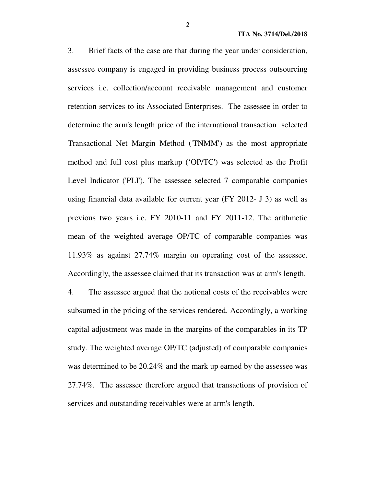3. Brief facts of the case are that during the year under consideration, assessee company is engaged in providing business process outsourcing services i.e. collection/account receivable management and customer retention services to its Associated Enterprises. The assessee in order to determine the arm's length price of the international transaction selected Transactional Net Margin Method ('TNMM') as the most appropriate method and full cost plus markup ('OP/TC') was selected as the Profit Level Indicator ('PLI'). The assessee selected 7 comparable companies using financial data available for current year (FY 2012- J 3) as well as previous two years i.e. FY 2010-11 and FY 2011-12. The arithmetic mean of the weighted average OP/TC of comparable companies was 11.93% as against 27.74% margin on operating cost of the assessee. Accordingly, the assessee claimed that its transaction was at arm's length.

4. The assessee argued that the notional costs of the receivables were subsumed in the pricing of the services rendered. Accordingly, a working capital adjustment was made in the margins of the comparables in its TP study. The weighted average OP/TC (adjusted) of comparable companies was determined to be 20.24% and the mark up earned by the assessee was 27.74%. The assessee therefore argued that transactions of provision of services and outstanding receivables were at arm's length.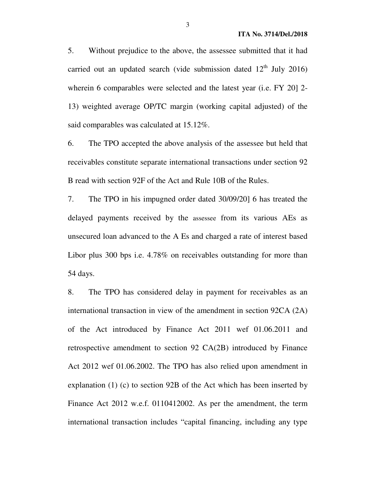5. Without prejudice to the above, the assessee submitted that it had carried out an updated search (vide submission dated  $12<sup>th</sup>$  July 2016) wherein 6 comparables were selected and the latest year (i.e. FY 20] 2- 13) weighted average OP/TC margin (working capital adjusted) of the said comparables was calculated at 15.12%.

6. The TPO accepted the above analysis of the assessee but held that receivables constitute separate international transactions under section 92 B read with section 92F of the Act and Rule 10B of the Rules.

7. The TPO in his impugned order dated 30/09/20] 6 has treated the delayed payments received by the assessee from its various AEs as unsecured loan advanced to the A Es and charged a rate of interest based Libor plus 300 bps i.e. 4.78% on receivables outstanding for more than 54 days.

8. The TPO has considered delay in payment for receivables as an international transaction in view of the amendment in section 92CA (2A) of the Act introduced by Finance Act 2011 wef 01.06.2011 and retrospective amendment to section 92 CA(2B) introduced by Finance Act 2012 wef 01.06.2002. The TPO has also relied upon amendment in explanation (1) (c) to section 92B of the Act which has been inserted by Finance Act 2012 w.e.f. 0110412002. As per the amendment, the term international transaction includes "capital financing, including any type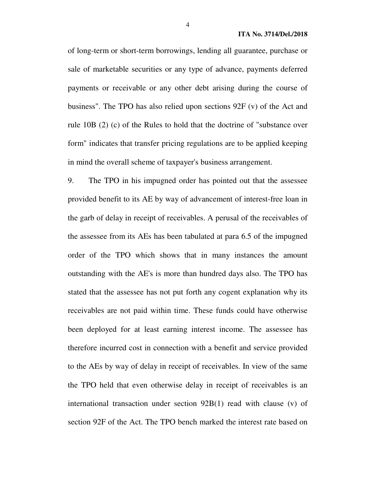of long-term or short-term borrowings, lending all guarantee, purchase or sale of marketable securities or any type of advance, payments deferred payments or receivable or any other debt arising during the course of business". The TPO has also relied upon sections 92F (v) of the Act and rule 10B (2) (c) of the Rules to hold that the doctrine of "substance over form" indicates that transfer pricing regulations are to be applied keeping in mind the overall scheme of taxpayer's business arrangement.

9. The TPO in his impugned order has pointed out that the assessee provided benefit to its AE by way of advancement of interest-free loan in the garb of delay in receipt of receivables. A perusal of the receivables of the assessee from its AEs has been tabulated at para 6.5 of the impugned order of the TPO which shows that in many instances the amount outstanding with the AE's is more than hundred days also. The TPO has stated that the assessee has not put forth any cogent explanation why its receivables are not paid within time. These funds could have otherwise been deployed for at least earning interest income. The assessee has therefore incurred cost in connection with a benefit and service provided to the AEs by way of delay in receipt of receivables. In view of the same the TPO held that even otherwise delay in receipt of receivables is an international transaction under section 92B(1) read with clause (v) of section 92F of the Act. The TPO bench marked the interest rate based on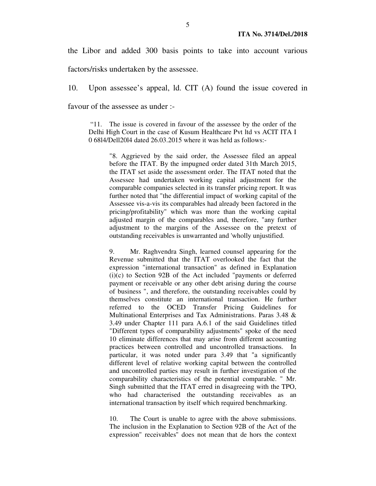the Libor and added 300 basis points to take into account various factors/risks undertaken by the assessee.

10. Upon assessee's appeal, ld. CIT (A) found the issue covered in favour of the assessee as under :-

 "11. The issue is covered in favour of the assessee by the order of the Delhi High Court in the case of Kusum Healthcare Pvt ltd vs ACIT ITA I 0 68l4/Dell20l4 dated 26.03.2015 where it was held as follows:-

"8. Aggrieved by the said order, the Assessee filed an appeal before the ITAT. By the impugned order dated 31th March 2015, the ITAT set aside the assessment order. The ITAT noted that the Assessee had undertaken working capital adjustment for the comparable companies selected in its transfer pricing report. It was further noted that "the differential impact of working capital of the Assessee vis-a-vis its comparables had already been factored in the pricing/profitability" which was more than the working capital adjusted margin of the comparables and, therefore, "any further adjustment to the margins of the Assessee on the pretext of outstanding receivables is unwarranted and 'wholly unjustified.

9. Mr. Raghvendra Singh, learned counsel appearing for the Revenue submitted that the ITAT overlooked the fact that the expression "international transaction" as defined in Explanation (i)(c) to Section 92B of the Act included "payments or deferred payment or receivable or any other debt arising during the course of business ", and therefore, the outstanding receivables could by themselves constitute an international transaction. He further referred to the OCED Transfer Pricing Guidelines for Multinational Enterprises and Tax Administrations. Paras 3.48 & 3.49 under Chapter 111 para A.6.1 of the said Guidelines titled "Different types of comparability adjustments" spoke of the need 10 eliminate differences that may arise from different accounting practices between controlled and uncontrolled transactions. In particular, it was noted under para 3.49 that "a significantly different level of relative working capital between the controlled and uncontrolled parties may result in further investigation of the comparability characteristics of the potential comparable. " Mr. Singh submitted that the ITAT erred in disagreeing with the TPO, who had characterised the outstanding receivables as an international transaction by itself which required benchmarking.

10. The Court is unable to agree with the above submissions. The inclusion in the Explanation to Section 92B of the Act of the expression" receivables" does not mean that de hors the context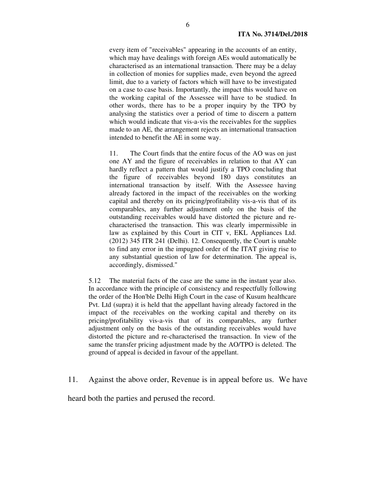every item of "receivables" appearing in the accounts of an entity, which may have dealings with foreign AEs would automatically be characterised as an international transaction. There may be a delay in collection of monies for supplies made, even beyond the agreed limit, due to a variety of factors which will have to be investigated on a case to case basis. Importantly, the impact this would have on the working capital of the Assessee will have to be studied. In other words, there has to be a proper inquiry by the TPO by analysing the statistics over a period of time to discern a pattern which would indicate that vis-a-vis the receivables for the supplies made to an AE, the arrangement rejects an international transaction intended to benefit the AE in some way.

11. The Court finds that the entire focus of the AO was on just one AY and the figure of receivables in relation to that AY can hardly reflect a pattern that would justify a TPO concluding that the figure of receivables beyond 180 days constitutes an international transaction by itself. With the Assessee having already factored in the impact of the receivables on the working capital and thereby on its pricing/profitability vis-a-vis that of its comparables, any further adjustment only on the basis of the outstanding receivables would have distorted the picture and recharacterised the transaction. This was clearly impermissible in law as explained by this Court in CIT v, EKL Appliances Ltd. (2012) 345 ITR 241 (Delhi). 12. Consequently, the Court is unable to find any error in the impugned order of the ITAT giving rise to any substantial question of law for determination. The appeal is, accordingly, dismissed."

5.12 The material facts of the case are the same in the instant year also. In accordance with the principle of consistency and respectfully following the order of the Hon'ble Delhi High Court in the case of Kusum healthcare Pvt. Ltd (supra) it is held that the appellant having already factored in the impact of the receivables on the working capital and thereby on its pricing/profitability vis-a-vis that of its comparables, any further adjustment only on the basis of the outstanding receivables would have distorted the picture and re-characterised the transaction. In view of the same the transfer pricing adjustment made by the AO/TPO is deleted. The ground of appeal is decided in favour of the appellant.

11. Against the above order, Revenue is in appeal before us. We have

heard both the parties and perused the record.